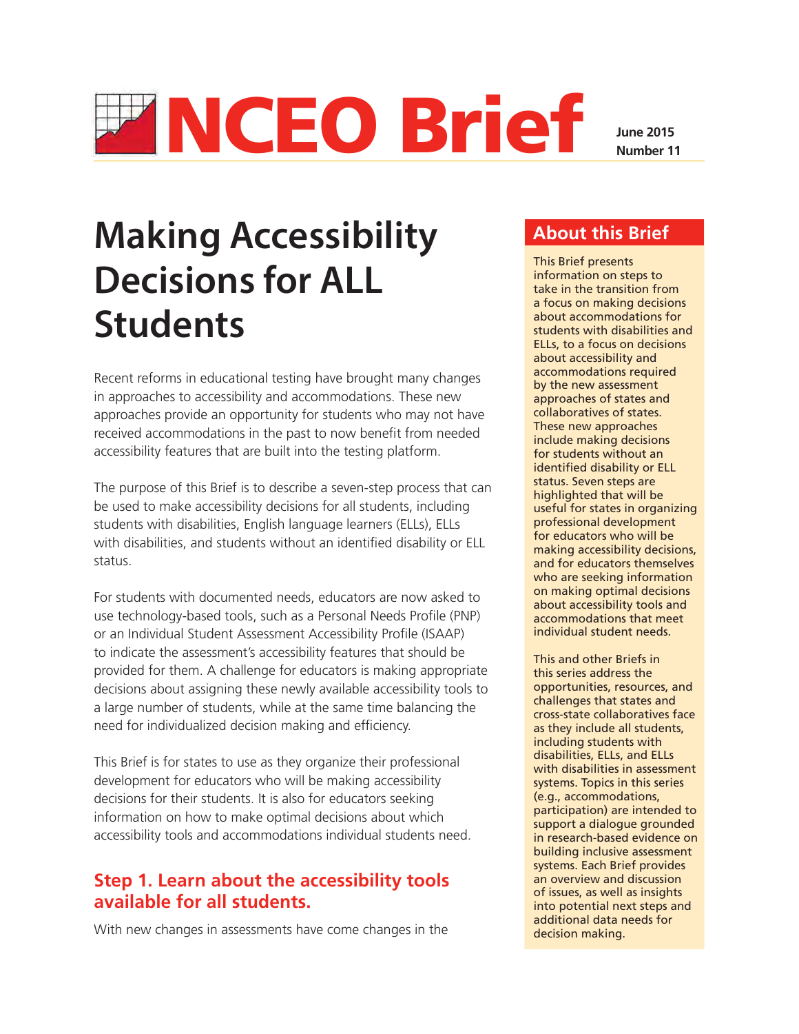# NCEO Brief **June 2015**

**Number 11**

# **Making Accessibility Decisions for ALL Students**

Recent reforms in educational testing have brought many changes in approaches to accessibility and accommodations. These new approaches provide an opportunity for students who may not have received accommodations in the past to now benefit from needed accessibility features that are built into the testing platform.

The purpose of this Brief is to describe a seven-step process that can be used to make accessibility decisions for all students, including students with disabilities, English language learners (ELLs), ELLs with disabilities, and students without an identified disability or ELL status.

For students with documented needs, educators are now asked to use technology-based tools, such as a Personal Needs Profile (PNP) or an Individual Student Assessment Accessibility Profile (ISAAP) to indicate the assessment's accessibility features that should be provided for them. A challenge for educators is making appropriate decisions about assigning these newly available accessibility tools to a large number of students, while at the same time balancing the need for individualized decision making and efficiency.

This Brief is for states to use as they organize their professional development for educators who will be making accessibility decisions for their students. It is also for educators seeking information on how to make optimal decisions about which accessibility tools and accommodations individual students need.

# **Step 1. Learn about the accessibility tools available for all students.**

With new changes in assessments have come changes in the

# **About this Brief**

This Brief presents information on steps to take in the transition from a focus on making decisions about accommodations for students with disabilities and ELLs, to a focus on decisions about accessibility and accommodations required by the new assessment approaches of states and collaboratives of states. These new approaches include making decisions for students without an identified disability or ELL status. Seven steps are highlighted that will be useful for states in organizing professional development for educators who will be making accessibility decisions, and for educators themselves who are seeking information on making optimal decisions about accessibility tools and accommodations that meet individual student needs.

This and other Briefs in this series address the opportunities, resources, and challenges that states and cross-state collaboratives face as they include all students, including students with disabilities, ELLs, and ELLs with disabilities in assessment systems. Topics in this series (e.g., accommodations, participation) are intended to support a dialogue grounded in research-based evidence on building inclusive assessment systems. Each Brief provides an overview and discussion of issues, as well as insights into potential next steps and additional data needs for decision making.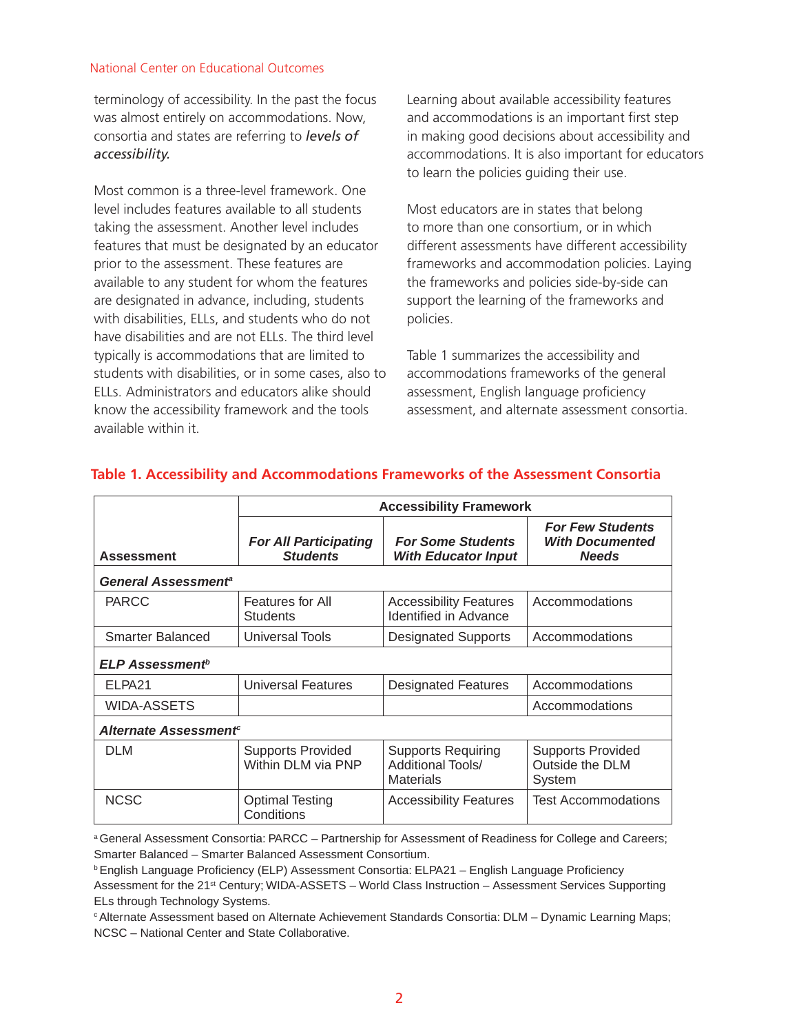#### National Center on Educational Outcomes

terminology of accessibility. In the past the focus was almost entirely on accommodations. Now, consortia and states are referring to *levels of accessibility.* 

Most common is a three-level framework. One level includes features available to all students taking the assessment. Another level includes features that must be designated by an educator prior to the assessment. These features are available to any student for whom the features are designated in advance, including, students with disabilities, ELLs, and students who do not have disabilities and are not ELLs. The third level typically is accommodations that are limited to students with disabilities, or in some cases, also to ELLs. Administrators and educators alike should know the accessibility framework and the tools available within it.

Learning about available accessibility features and accommodations is an important first step in making good decisions about accessibility and accommodations. It is also important for educators to learn the policies guiding their use.

Most educators are in states that belong to more than one consortium, or in which different assessments have different accessibility frameworks and accommodation policies. Laying the frameworks and policies side-by-side can support the learning of the frameworks and policies.

Table 1 summarizes the accessibility and accommodations frameworks of the general assessment, English language proficiency assessment, and alternate assessment consortia.

|                                    | <b>Accessibility Framework</b>                  |                                                                           |                                                                   |
|------------------------------------|-------------------------------------------------|---------------------------------------------------------------------------|-------------------------------------------------------------------|
| <b>Assessment</b>                  | <b>For All Participating</b><br><b>Students</b> | <b>For Some Students</b><br><b>With Educator Input</b>                    | <b>For Few Students</b><br><b>With Documented</b><br><b>Needs</b> |
| General Assessment <sup>a</sup>    |                                                 |                                                                           |                                                                   |
| <b>PARCC</b>                       | Features for All<br><b>Students</b>             | <b>Accessibility Features</b><br>Identified in Advance                    | Accommodations                                                    |
| <b>Smarter Balanced</b>            | <b>Universal Tools</b>                          | <b>Designated Supports</b>                                                | Accommodations                                                    |
| <b>ELP Assessment</b> <sup>b</sup> |                                                 |                                                                           |                                                                   |
| ELPA <sub>21</sub>                 | Universal Features                              | <b>Designated Features</b>                                                | Accommodations                                                    |
| WIDA-ASSETS                        |                                                 |                                                                           | Accommodations                                                    |
| Alternate Assessment <sup>e</sup>  |                                                 |                                                                           |                                                                   |
| <b>DLM</b>                         | <b>Supports Provided</b><br>Within DLM via PNP  | <b>Supports Requiring</b><br><b>Additional Tools/</b><br><b>Materials</b> | <b>Supports Provided</b><br>Outside the DLM<br>System             |
| <b>NCSC</b>                        | <b>Optimal Testing</b><br>Conditions            | <b>Accessibility Features</b>                                             | <b>Test Accommodations</b>                                        |

### **Table 1. Accessibility and Accommodations Frameworks of the Assessment Consortia**

a General Assessment Consortia: PARCC – Partnership for Assessment of Readiness for College and Careers; Smarter Balanced – Smarter Balanced Assessment Consortium.

b English Language Proficiency (ELP) Assessment Consortia: ELPA21 – English Language Proficiency

Assessment for the 21<sup>st</sup> Century; WIDA-ASSETS – World Class Instruction – Assessment Services Supporting ELs through Technology Systems.

c Alternate Assessment based on Alternate Achievement Standards Consortia: DLM – Dynamic Learning Maps; NCSC – National Center and State Collaborative.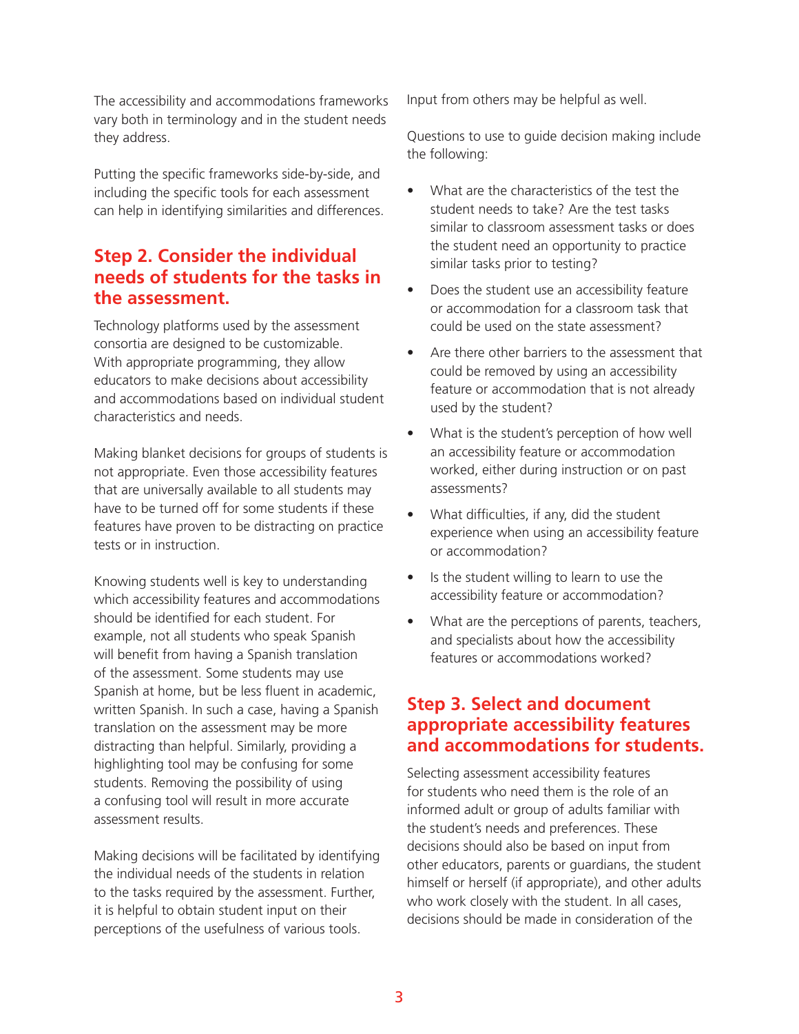The accessibility and accommodations frameworks vary both in terminology and in the student needs they address.

Putting the specific frameworks side-by-side, and including the specific tools for each assessment can help in identifying similarities and differences.

# **Step 2. Consider the individual needs of students for the tasks in the assessment.**

Technology platforms used by the assessment consortia are designed to be customizable. With appropriate programming, they allow educators to make decisions about accessibility and accommodations based on individual student characteristics and needs.

Making blanket decisions for groups of students is not appropriate. Even those accessibility features that are universally available to all students may have to be turned off for some students if these features have proven to be distracting on practice tests or in instruction.

Knowing students well is key to understanding which accessibility features and accommodations should be identified for each student. For example, not all students who speak Spanish will benefit from having a Spanish translation of the assessment. Some students may use Spanish at home, but be less fluent in academic, written Spanish. In such a case, having a Spanish translation on the assessment may be more distracting than helpful. Similarly, providing a highlighting tool may be confusing for some students. Removing the possibility of using a confusing tool will result in more accurate assessment results.

Making decisions will be facilitated by identifying the individual needs of the students in relation to the tasks required by the assessment. Further, it is helpful to obtain student input on their perceptions of the usefulness of various tools.

Input from others may be helpful as well.

Questions to use to guide decision making include the following:

- What are the characteristics of the test the student needs to take? Are the test tasks similar to classroom assessment tasks or does the student need an opportunity to practice similar tasks prior to testing?
- Does the student use an accessibility feature or accommodation for a classroom task that could be used on the state assessment?
- Are there other barriers to the assessment that could be removed by using an accessibility feature or accommodation that is not already used by the student?
- What is the student's perception of how well an accessibility feature or accommodation worked, either during instruction or on past assessments?
- What difficulties, if any, did the student experience when using an accessibility feature or accommodation?
- Is the student willing to learn to use the accessibility feature or accommodation?
- What are the perceptions of parents, teachers, and specialists about how the accessibility features or accommodations worked?

# **Step 3. Select and document appropriate accessibility features and accommodations for students.**

Selecting assessment accessibility features for students who need them is the role of an informed adult or group of adults familiar with the student's needs and preferences. These decisions should also be based on input from other educators, parents or guardians, the student himself or herself (if appropriate), and other adults who work closely with the student. In all cases, decisions should be made in consideration of the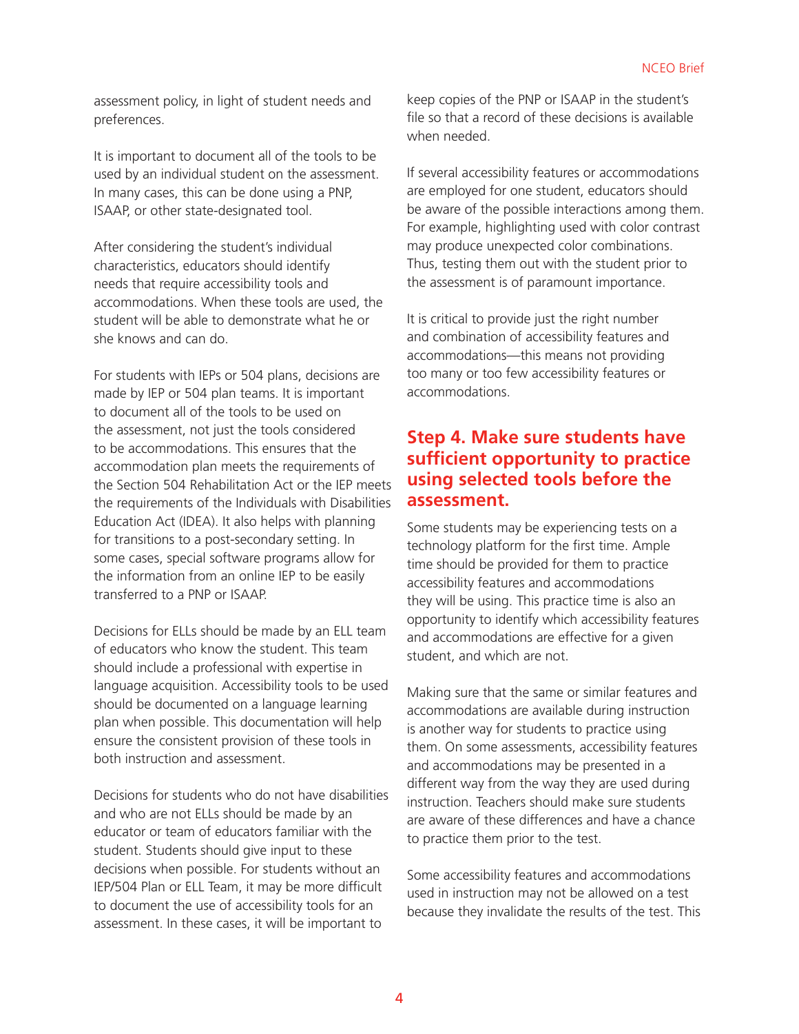assessment policy, in light of student needs and preferences.

It is important to document all of the tools to be used by an individual student on the assessment. In many cases, this can be done using a PNP, ISAAP, or other state-designated tool.

After considering the student's individual characteristics, educators should identify needs that require accessibility tools and accommodations. When these tools are used, the student will be able to demonstrate what he or she knows and can do.

For students with IEPs or 504 plans, decisions are made by IEP or 504 plan teams. It is important to document all of the tools to be used on the assessment, not just the tools considered to be accommodations. This ensures that the accommodation plan meets the requirements of the Section 504 Rehabilitation Act or the IEP meets the requirements of the Individuals with Disabilities Education Act (IDEA). It also helps with planning for transitions to a post-secondary setting. In some cases, special software programs allow for the information from an online IEP to be easily transferred to a PNP or ISAAP.

Decisions for ELLs should be made by an ELL team of educators who know the student. This team should include a professional with expertise in language acquisition. Accessibility tools to be used should be documented on a language learning plan when possible. This documentation will help ensure the consistent provision of these tools in both instruction and assessment.

Decisions for students who do not have disabilities and who are not ELLs should be made by an educator or team of educators familiar with the student. Students should give input to these decisions when possible. For students without an IEP/504 Plan or ELL Team, it may be more difficult to document the use of accessibility tools for an assessment. In these cases, it will be important to

keep copies of the PNP or ISAAP in the student's file so that a record of these decisions is available when needed.

If several accessibility features or accommodations are employed for one student, educators should be aware of the possible interactions among them. For example, highlighting used with color contrast may produce unexpected color combinations. Thus, testing them out with the student prior to the assessment is of paramount importance.

It is critical to provide just the right number and combination of accessibility features and accommodations—this means not providing too many or too few accessibility features or accommodations.

# **Step 4. Make sure students have sufficient opportunity to practice using selected tools before the assessment.**

Some students may be experiencing tests on a technology platform for the first time. Ample time should be provided for them to practice accessibility features and accommodations they will be using. This practice time is also an opportunity to identify which accessibility features and accommodations are effective for a given student, and which are not.

Making sure that the same or similar features and accommodations are available during instruction is another way for students to practice using them. On some assessments, accessibility features and accommodations may be presented in a different way from the way they are used during instruction. Teachers should make sure students are aware of these differences and have a chance to practice them prior to the test.

Some accessibility features and accommodations used in instruction may not be allowed on a test because they invalidate the results of the test. This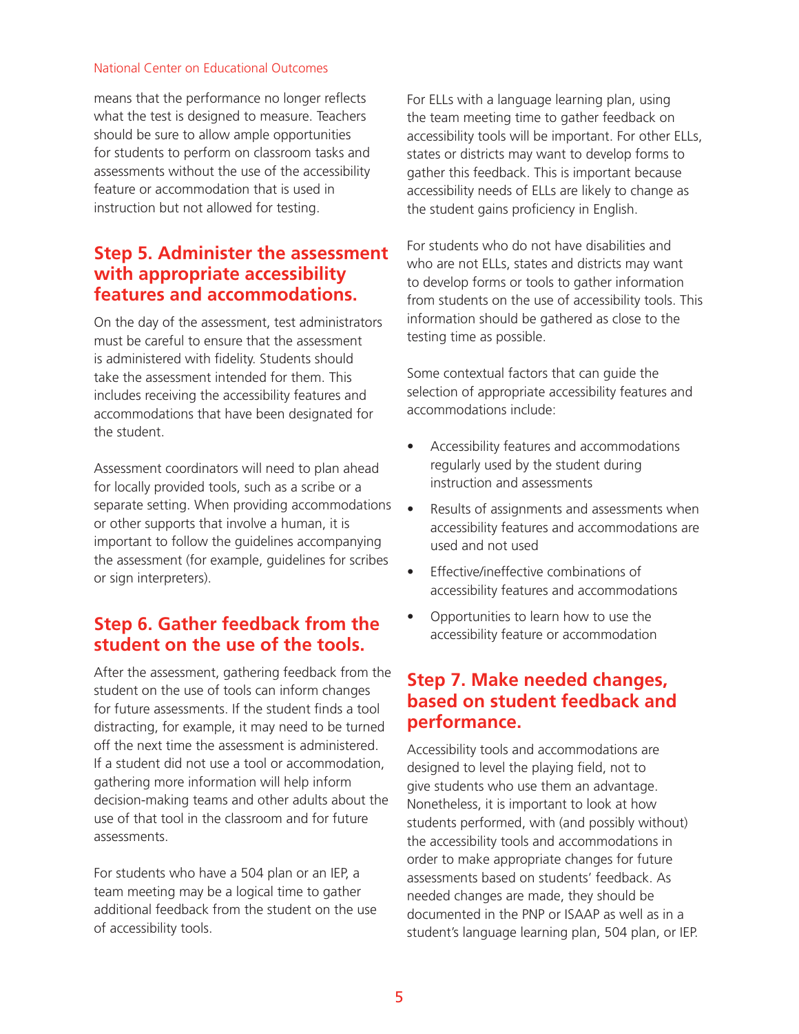#### National Center on Educational Outcomes

means that the performance no longer reflects what the test is designed to measure. Teachers should be sure to allow ample opportunities for students to perform on classroom tasks and assessments without the use of the accessibility feature or accommodation that is used in instruction but not allowed for testing.

# **Step 5. Administer the assessment with appropriate accessibility features and accommodations.**

On the day of the assessment, test administrators must be careful to ensure that the assessment is administered with fidelity. Students should take the assessment intended for them. This includes receiving the accessibility features and accommodations that have been designated for the student.

Assessment coordinators will need to plan ahead for locally provided tools, such as a scribe or a separate setting. When providing accommodations or other supports that involve a human, it is important to follow the guidelines accompanying the assessment (for example, guidelines for scribes or sign interpreters).

# **Step 6. Gather feedback from the student on the use of the tools.**

After the assessment, gathering feedback from the student on the use of tools can inform changes for future assessments. If the student finds a tool distracting, for example, it may need to be turned off the next time the assessment is administered. If a student did not use a tool or accommodation, gathering more information will help inform decision-making teams and other adults about the use of that tool in the classroom and for future assessments.

For students who have a 504 plan or an IEP, a team meeting may be a logical time to gather additional feedback from the student on the use of accessibility tools.

For ELLs with a language learning plan, using the team meeting time to gather feedback on accessibility tools will be important. For other ELLs, states or districts may want to develop forms to gather this feedback. This is important because accessibility needs of ELLs are likely to change as the student gains proficiency in English.

For students who do not have disabilities and who are not ELLs, states and districts may want to develop forms or tools to gather information from students on the use of accessibility tools. This information should be gathered as close to the testing time as possible.

Some contextual factors that can guide the selection of appropriate accessibility features and accommodations include:

- • Accessibility features and accommodations regularly used by the student during instruction and assessments
- Results of assignments and assessments when accessibility features and accommodations are used and not used
- • Effective/ineffective combinations of accessibility features and accommodations
- • Opportunities to learn how to use the accessibility feature or accommodation

# **Step 7. Make needed changes, based on student feedback and performance.**

Accessibility tools and accommodations are designed to level the playing field, not to give students who use them an advantage. Nonetheless, it is important to look at how students performed, with (and possibly without) the accessibility tools and accommodations in order to make appropriate changes for future assessments based on students' feedback. As needed changes are made, they should be documented in the PNP or ISAAP as well as in a student's language learning plan, 504 plan, or IEP.